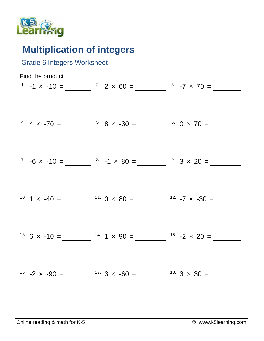

## **Multiplication of integers**

| <b>Grade 6 Integers Worksheet</b> |                                                                                                      |  |
|-----------------------------------|------------------------------------------------------------------------------------------------------|--|
| Find the product.                 | <sup>1</sup> -1 x -10 = $2 \times 60 =$ $3 \times 7 \times 70 =$                                     |  |
|                                   |                                                                                                      |  |
|                                   | <sup>4</sup> $4 \times -70 =$ $\frac{5}{100} = \frac{5}{100} = 30 =$ $\frac{6}{100} = 0 \times 70 =$ |  |
|                                   | $7 \t -6 \times -10 =$ $8 \t -1 \times 80 =$ $9 \t 3 \times 20 =$                                    |  |
|                                   |                                                                                                      |  |
|                                   |                                                                                                      |  |
|                                   |                                                                                                      |  |
|                                   | <sup>13.</sup> 6 x -10 = $14.1 \times 90 = 15.2 \times 20 =$                                         |  |
|                                   | <sup>16.</sup> $-2 \times -90 =$ $\frac{17.3 \times -60}{ } =$ $\frac{18.3 \times 30}{ } =$          |  |